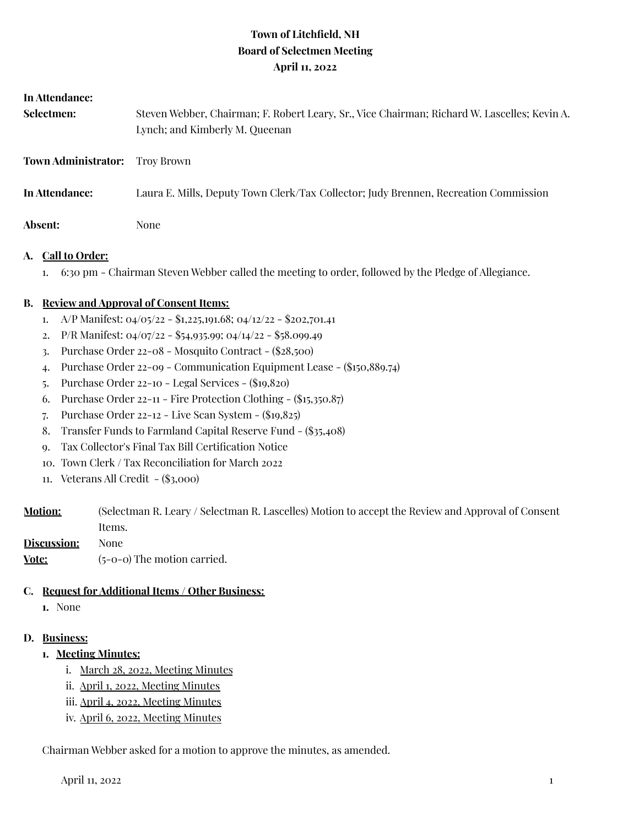# **Town of Litchfield, NH Board of Selectmen Meeting April 11, 2022**

| In Attendance:<br>Selectmen: | Steven Webber, Chairman; F. Robert Leary, Sr., Vice Chairman; Richard W. Lascelles; Kevin A.<br>Lynch; and Kimberly M. Queenan |
|------------------------------|--------------------------------------------------------------------------------------------------------------------------------|
| <b>Town Administrator:</b>   | Troy Brown                                                                                                                     |
| In Attendance:               | Laura E. Mills, Deputy Town Clerk/Tax Collector; Judy Brennen, Recreation Commission                                           |
| Absent:                      | None                                                                                                                           |

## **A. Call to Order:**

1. 6:30 pm - Chairman Steven Webber called the meeting to order, followed by the Pledge of Allegiance.

### **B. Review and Approval of Consent Items:**

- 1. A/P Manifest: 04/05/22 \$1,225,191.68; 04/12/22 \$202,701.41
- 2. P/R Manifest:  $04/07/22 $54,935.99$ ;  $04/14/22 $58.099.49$
- 3. Purchase Order 22-08 Mosquito Contract (\$28,500)
- 4. Purchase Order 22-09 Communication Equipment Lease (\$150,889.74)
- 5. Purchase Order 22-10 Legal Services (\$19,820)
- 6. Purchase Order 22-11 Fire Protection Clothing (\$15,350.87)
- 7. Purchase Order 22-12 Live Scan System (\$19,825)
- 8. Transfer Funds to Farmland Capital Reserve Fund (\$35,408)
- 9. Tax Collector's Final Tax Bill Certification Notice
- 10. Town Clerk / Tax Reconciliation for March 2022
- 11. Veterans All Credit (\$3,000)

**Motion:** (Selectman R. Leary / Selectman R. Lascelles) Motion to accept the Review and Approval of Consent Items.

- **Discussion:** None
- **Vote:** (5-0-0) The motion carried.

#### **C. Request for Additional Items / Other Business:**

**1.** None

#### **D. Business:**

### **1. Meeting Minutes:**

- i. March 28, 2022, Meeting Minutes
- ii. April 1, 2022, Meeting Minutes
- iii. April 4, 2022, Meeting Minutes
- iv. April 6, 2022, Meeting Minutes

Chairman Webber asked for a motion to approve the minutes, as amended.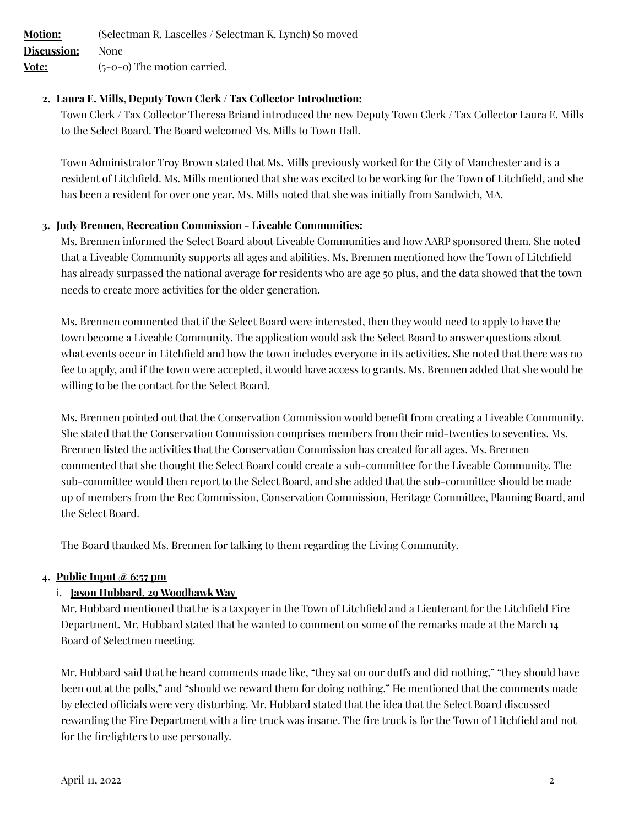**Motion:** (Selectman R. Lascelles / Selectman K. Lynch) So moved **Discussion:** None **Vote:** (5-0-0) The motion carried.

## **2. Laura E. Mills, Deputy Town Clerk / Tax Collector Introduction:**

Town Clerk / Tax Collector Theresa Briand introduced the new Deputy Town Clerk / Tax Collector Laura E. Mills to the Select Board. The Board welcomed Ms. Mills to Town Hall.

Town Administrator Troy Brown stated that Ms. Mills previously worked for the City of Manchester and is a resident of Litchfield. Ms. Mills mentioned that she was excited to be working for the Town of Litchfield, and she has been a resident for over one year. Ms. Mills noted that she was initially from Sandwich, MA.

## **3. Judy Brennen, Recreation Commission - Liveable Communities:**

Ms. Brennen informed the Select Board about Liveable Communities and how AARP sponsored them. She noted that a Liveable Community supports all ages and abilities. Ms. Brennen mentioned how the Town of Litchfield has already surpassed the national average for residents who are age 50 plus, and the data showed that the town needs to create more activities for the older generation.

Ms. Brennen commented that if the Select Board were interested, then they would need to apply to have the town become a Liveable Community. The application would ask the Select Board to answer questions about what events occur in Litchfield and how the town includes everyone in its activities. She noted that there was no fee to apply, and if the town were accepted, it would have access to grants. Ms. Brennen added that she would be willing to be the contact for the Select Board.

Ms. Brennen pointed out that the Conservation Commission would benefit from creating a Liveable Community. She stated that the Conservation Commission comprises members from their mid-twenties to seventies. Ms. Brennen listed the activities that the Conservation Commission has created for all ages. Ms. Brennen commented that she thought the Select Board could create a sub-committee for the Liveable Community. The sub-committee would then report to the Select Board, and she added that the sub-committee should be made up of members from the Rec Commission, Conservation Commission, Heritage Committee, Planning Board, and the Select Board.

The Board thanked Ms. Brennen for talking to them regarding the Living Community.

#### **4. Public Input @ 6:57 pm**

## i. **Jason Hubbard, 29 Woodhawk Way**

Mr. Hubbard mentioned that he is a taxpayer in the Town of Litchfield and a Lieutenant for the Litchfield Fire Department. Mr. Hubbard stated that he wanted to comment on some of the remarks made at the March 14 Board of Selectmen meeting.

Mr. Hubbard said that he heard comments made like, "they sat on our duffs and did nothing," "they should have been out at the polls," and "should we reward them for doing nothing." He mentioned that the comments made by elected officials were very disturbing. Mr. Hubbard stated that the idea that the Select Board discussed rewarding the Fire Department with a fire truck was insane. The fire truck is for the Town of Litchfield and not for the firefighters to use personally.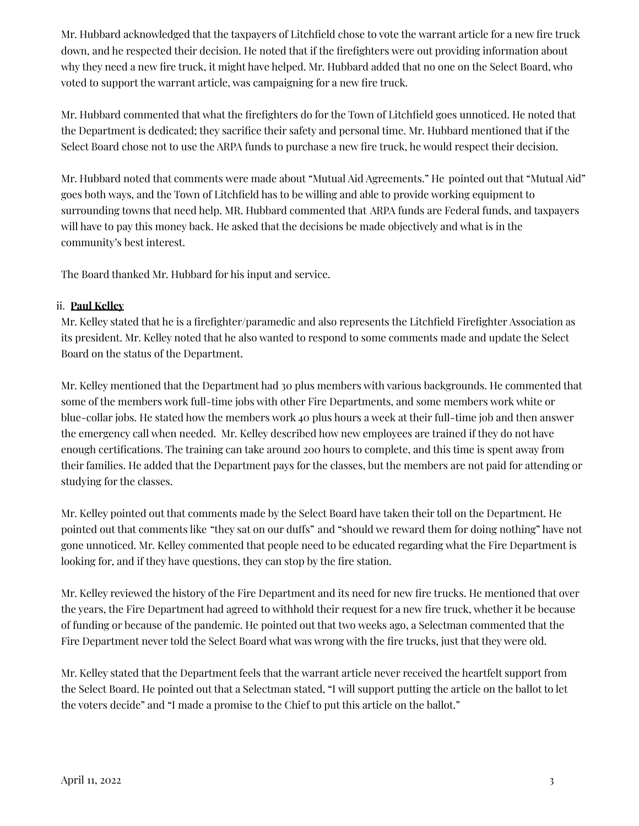Mr. Hubbard acknowledged that the taxpayers of Litchfield chose to vote the warrant article for a new fire truck down, and he respected their decision. He noted that if the firefighters were out providing information about why they need a new fire truck, it might have helped. Mr. Hubbard added that no one on the Select Board, who voted to support the warrant article, was campaigning for a new fire truck.

Mr. Hubbard commented that what the firefighters do for the Town of Litchfield goes unnoticed. He noted that the Department is dedicated; they sacrifice their safety and personal time. Mr. Hubbard mentioned that if the Select Board chose not to use the ARPA funds to purchase a new fire truck, he would respect their decision.

Mr. Hubbard noted that comments were made about "Mutual Aid Agreements." He pointed out that "Mutual Aid" goes both ways, and the Town of Litchfield has to be willing and able to provide working equipment to surrounding towns that need help. MR. Hubbard commented that ARPA funds are Federal funds, and taxpayers will have to pay this money back. He asked that the decisions be made objectively and what is in the community's best interest.

The Board thanked Mr. Hubbard for his input and service.

## ii. **Paul Kelley**

Mr. Kelley stated that he is a firefighter/paramedic and also represents the Litchfield Firefighter Association as its president. Mr. Kelley noted that he also wanted to respond to some comments made and update the Select Board on the status of the Department.

Mr. Kelley mentioned that the Department had 30 plus members with various backgrounds. He commented that some of the members work full-time jobs with other Fire Departments, and some members work white or blue-collar jobs. He stated how the members work 40 plus hours a week at their full-time job and then answer the emergency call when needed. Mr. Kelley described how new employees are trained if they do not have enough certifications. The training can take around 200 hours to complete, and this time is spent away from their families. He added that the Department pays for the classes, but the members are not paid for attending or studying for the classes.

Mr. Kelley pointed out that comments made by the Select Board have taken their toll on the Department. He pointed out that comments like "they sat on our duffs" and "should we reward them for doing nothing" have not gone unnoticed. Mr. Kelley commented that people need to be educated regarding what the Fire Department is looking for, and if they have questions, they can stop by the fire station.

Mr. Kelley reviewed the history of the Fire Department and its need for new fire trucks. He mentioned that over the years, the Fire Department had agreed to withhold their request for a new fire truck, whether it be because of funding or because of the pandemic. He pointed out that two weeks ago, a Selectman commented that the Fire Department never told the Select Board what was wrong with the fire trucks, just that they were old.

Mr. Kelley stated that the Department feels that the warrant article never received the heartfelt support from the Select Board. He pointed out that a Selectman stated, "I will support putting the article on the ballot to let the voters decide" and "I made a promise to the Chief to put this article on the ballot."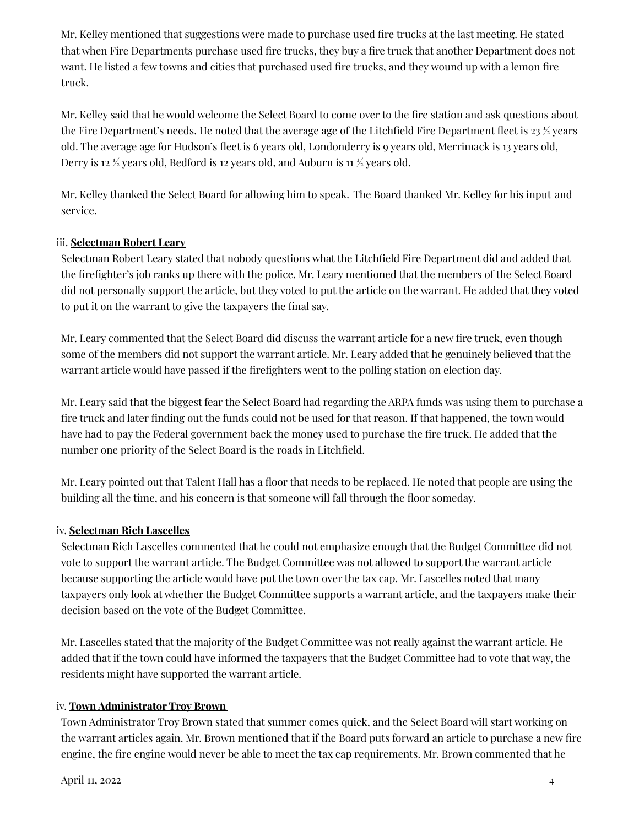Mr. Kelley mentioned that suggestions were made to purchase used fire trucks at the last meeting. He stated that when Fire Departments purchase used fire trucks, they buy a fire truck that another Department does not want. He listed a few towns and cities that purchased used fire trucks, and they wound up with a lemon fire truck.

Mr. Kelley said that he would welcome the Select Board to come over to the fire station and ask questions about the Fire Department's needs. He noted that the average age of the Litchfield Fire Department fleet is 23  $\frac{1}{2}$  years old. The average age for Hudson's fleet is 6 years old, Londonderry is 9 years old, Merrimack is 13 years old, Derry is 12  $\frac{1}{2}$  years old, Bedford is 12 years old, and Auburn is 11  $\frac{1}{2}$  years old.

Mr. Kelley thanked the Select Board for allowing him to speak. The Board thanked Mr. Kelley for his input and service.

## iii. **Selectman Robert Leary**

Selectman Robert Leary stated that nobody questions what the Litchfield Fire Department did and added that the firefighter's job ranks up there with the police. Mr. Leary mentioned that the members of the Select Board did not personally support the article, but they voted to put the article on the warrant. He added that they voted to put it on the warrant to give the taxpayers the final say.

Mr. Leary commented that the Select Board did discuss the warrant article for a new fire truck, even though some of the members did not support the warrant article. Mr. Leary added that he genuinely believed that the warrant article would have passed if the firefighters went to the polling station on election day.

Mr. Leary said that the biggest fear the Select Board had regarding the ARPA funds was using them to purchase a fire truck and later finding out the funds could not be used for that reason. If that happened, the town would have had to pay the Federal government back the money used to purchase the fire truck. He added that the number one priority of the Select Board is the roads in Litchfield.

Mr. Leary pointed out that Talent Hall has a floor that needs to be replaced. He noted that people are using the building all the time, and his concern is that someone will fall through the floor someday.

## iv. **Selectman Rich Lascelles**

Selectman Rich Lascelles commented that he could not emphasize enough that the Budget Committee did not vote to support the warrant article. The Budget Committee was not allowed to support the warrant article because supporting the article would have put the town over the tax cap. Mr. Lascelles noted that many taxpayers only look at whether the Budget Committee supports a warrant article, and the taxpayers make their decision based on the vote of the Budget Committee.

Mr. Lascelles stated that the majority of the Budget Committee was not really against the warrant article. He added that if the town could have informed the taxpayers that the Budget Committee had to vote that way, the residents might have supported the warrant article.

## iv. **Town Administrator Troy Brown**

Town Administrator Troy Brown stated that summer comes quick, and the Select Board will start working on the warrant articles again. Mr. Brown mentioned that if the Board puts forward an article to purchase a new fire engine, the fire engine would never be able to meet the tax cap requirements. Mr. Brown commented that he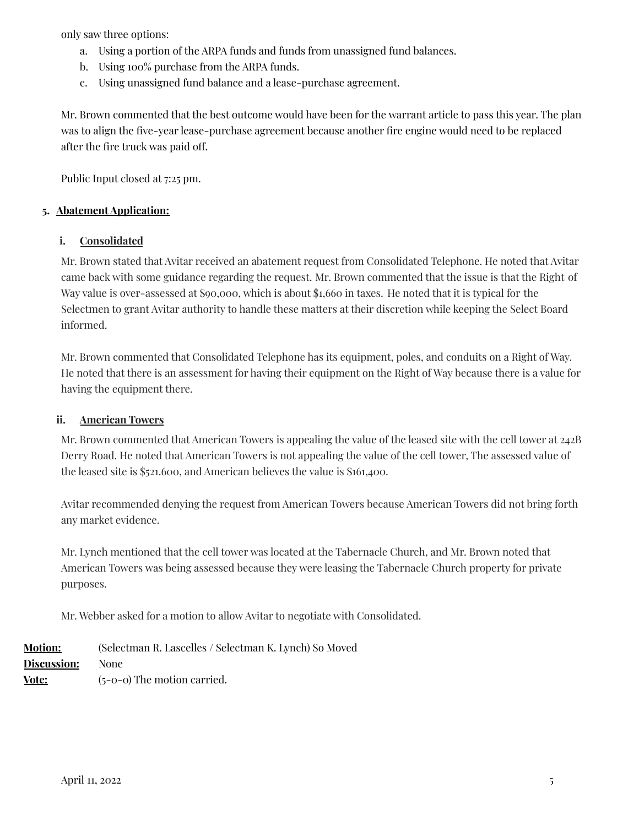only saw three options:

- a. Using a portion of the ARPA funds and funds from unassigned fund balances.
- b. Using 100% purchase from the ARPA funds.
- c. Using unassigned fund balance and a lease-purchase agreement.

Mr. Brown commented that the best outcome would have been for the warrant article to pass this year. The plan was to align the five-year lease-purchase agreement because another fire engine would need to be replaced after the fire truck was paid off.

Public Input closed at 7:25 pm.

### **5. Abatement Application:**

### **i. Consolidated**

Mr. Brown stated that Avitar received an abatement request from Consolidated Telephone. He noted that Avitar came back with some guidance regarding the request. Mr. Brown commented that the issue is that the Right of Way value is over-assessed at \$90,000, which is about \$1,660 in taxes. He noted that it is typical for the Selectmen to grant Avitar authority to handle these matters at their discretion while keeping the Select Board informed.

Mr. Brown commented that Consolidated Telephone has its equipment, poles, and conduits on a Right of Way. He noted that there is an assessment for having their equipment on the Right of Way because there is a value for having the equipment there.

#### **ii. American Towers**

Mr. Brown commented that American Towers is appealing the value of the leased site with the cell tower at 242B Derry Road. He noted that American Towers is not appealing the value of the cell tower, The assessed value of the leased site is \$521.600, and American believes the value is \$161,400.

Avitar recommended denying the request from American Towers because American Towers did not bring forth any market evidence.

Mr. Lynch mentioned that the cell tower was located at the Tabernacle Church, and Mr. Brown noted that American Towers was being assessed because they were leasing the Tabernacle Church property for private purposes.

Mr. Webber asked for a motion to allow Avitar to negotiate with Consolidated.

| <b>Motion:</b> | (Selectman R. Lascelles / Selectman K. Lynch) So Moved |
|----------------|--------------------------------------------------------|
| Discussion:    | None                                                   |
| <u>Vote:</u>   | $(5-0-0)$ The motion carried.                          |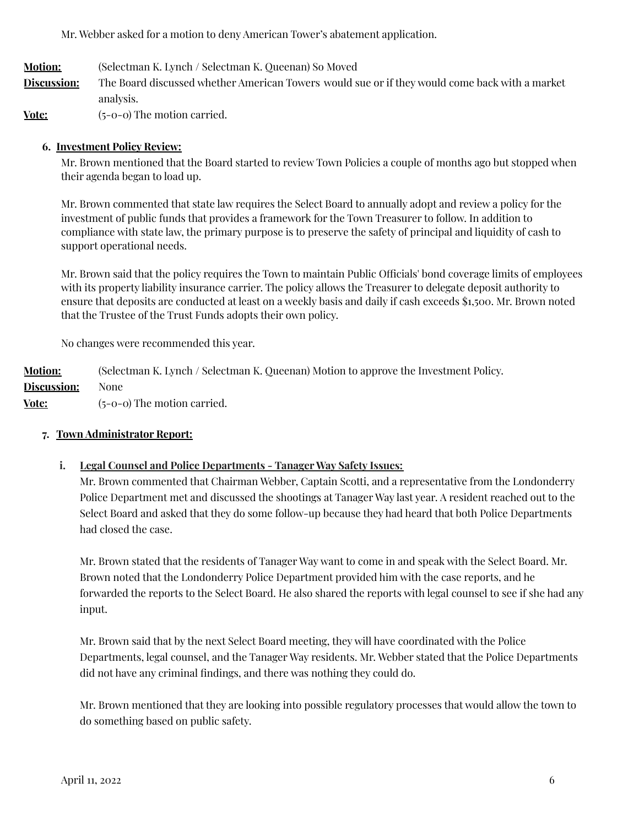Mr. Webber asked for a motion to deny American Tower's abatement application.

**Motion:** (Selectman K. Lynch / Selectman K. Queenan) So Moved

**Discussion:** The Board discussed whether American Towers would sue or if they would come back with a market analysis.

**Vote:** (5-0-0) The motion carried.

## **6. Investment Policy Review:**

Mr. Brown mentioned that the Board started to review Town Policies a couple of months ago but stopped when their agenda began to load up.

Mr. Brown commented that state law requires the Select Board to annually adopt and review a policy for the investment of public funds that provides a framework for the Town Treasurer to follow. In addition to compliance with state law, the primary purpose is to preserve the safety of principal and liquidity of cash to support operational needs.

Mr. Brown said that the policy requires the Town to maintain Public Officials' bond coverage limits of employees with its property liability insurance carrier. The policy allows the Treasurer to delegate deposit authority to ensure that deposits are conducted at least on a weekly basis and daily if cash exceeds \$1,500. Mr. Brown noted that the Trustee of the Trust Funds adopts their own policy.

No changes were recommended this year.

**Motion:** (Selectman K. Lynch / Selectman K. Queenan) Motion to approve the Investment Policy. **Discussion:** None **Vote:**  $(5-0-0)$  The motion carried.

## **7. Town Administrator Report:**

## **i. Legal Counsel and Police Departments - Tanager Way Safety Issues:**

Mr. Brown commented that Chairman Webber, Captain Scotti, and a representative from the Londonderry Police Department met and discussed the shootings at Tanager Way last year. A resident reached out to the Select Board and asked that they do some follow-up because they had heard that both Police Departments had closed the case.

Mr. Brown stated that the residents of Tanager Way want to come in and speak with the Select Board. Mr. Brown noted that the Londonderry Police Department provided him with the case reports, and he forwarded the reports to the Select Board. He also shared the reports with legal counsel to see if she had any input.

Mr. Brown said that by the next Select Board meeting, they will have coordinated with the Police Departments, legal counsel, and the Tanager Way residents. Mr. Webber stated that the Police Departments did not have any criminal findings, and there was nothing they could do.

Mr. Brown mentioned that they are looking into possible regulatory processes that would allow the town to do something based on public safety.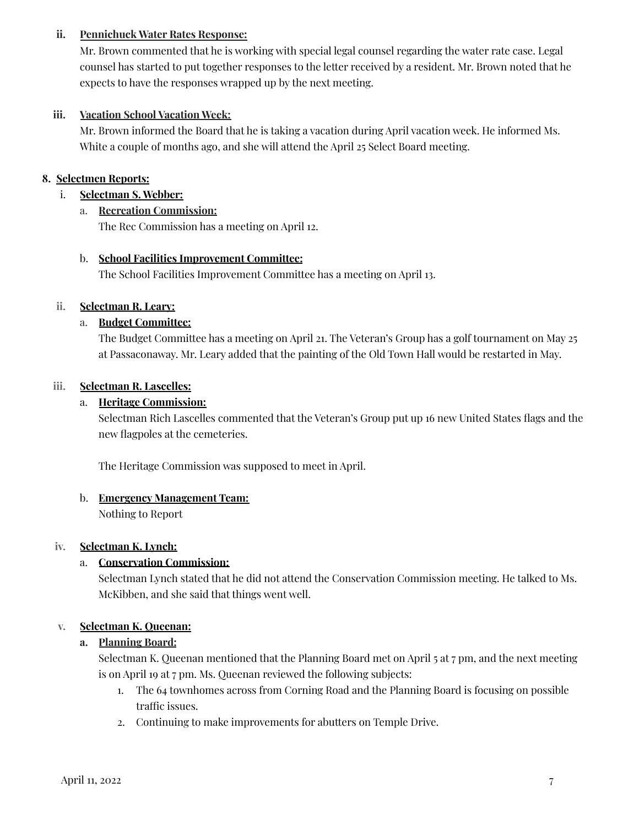## **ii. Pennichuck Water Rates Response:**

Mr. Brown commented that he is working with special legal counsel regarding the water rate case. Legal counsel has started to put together responses to the letter received by a resident. Mr. Brown noted that he expects to have the responses wrapped up by the next meeting.

## **iii. Vacation School Vacation Week:**

Mr. Brown informed the Board that he is taking a vacation during April vacation week. He informed Ms. White a couple of months ago, and she will attend the April 25 Select Board meeting.

## **8. Selectmen Reports:**

## i. **Selectman S. Webber:**

## a. **Recreation Commission:**

The Rec Commission has a meeting on April 12.

## b. **School Facilities Improvement Committee:**

The School Facilities Improvement Committee has a meeting on April 13.

## **ii. Selectman R. Leary:**

## a. **Budget Committee:**

The Budget Committee has a meeting on April 21. The Veteran's Group has a golf tournament on May 25 at Passaconaway. Mr. Leary added that the painting of the Old Town Hall would be restarted in May.

## **iii. Selectman R. Lascelles:**

## a. **Heritage Commission:**

Selectman Rich Lascelles commented that the Veteran's Group put up 16 new United States flags and the new flagpoles at the cemeteries.

The Heritage Commission was supposed to meet in April.

## b. **Emergency Management Team:**

Nothing to Report

## **iv. Selectman K. Lynch:**

## a. **Conservation Commission:**

Selectman Lynch stated that he did not attend the Conservation Commission meeting. He talked to Ms. McKibben, and she said that things went well.

## **v. Selectman K. Queenan:**

## **a. Planning Board:**

Selectman K. Queenan mentioned that the Planning Board met on April 5 at 7 pm, and the next meeting is on April 19 at 7 pm. Ms. Queenan reviewed the following subjects:

- 1. The 64 townhomes across from Corning Road and the Planning Board is focusing on possible traffic issues.
- 2. Continuing to make improvements for abutters on Temple Drive.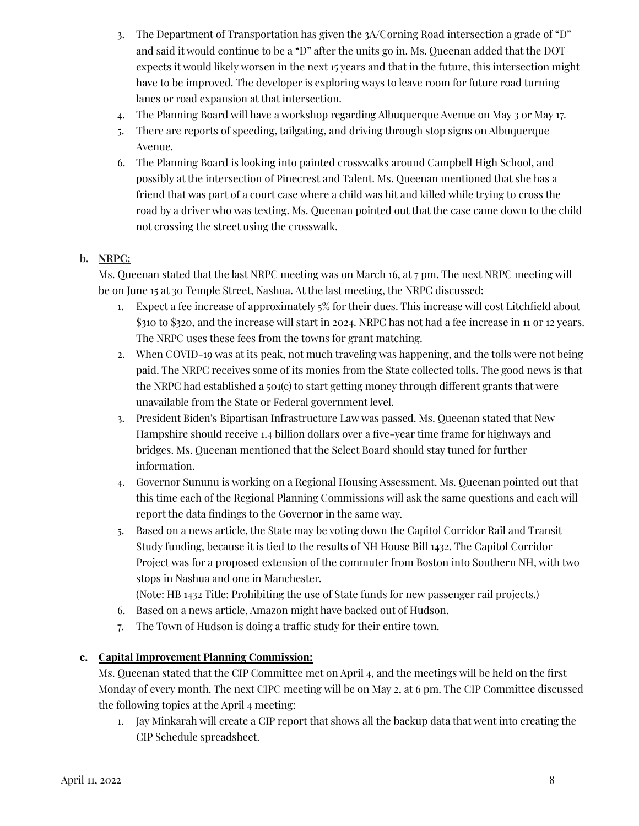- 3. The Department of Transportation has given the 3A/Corning Road intersection a grade of "D" and said it would continue to be a "D" after the units go in. Ms. Queenan added that the DOT expects it would likely worsen in the next 15 years and that in the future, this intersection might have to be improved. The developer is exploring ways to leave room for future road turning lanes or road expansion at that intersection.
- 4. The Planning Board will have a workshop regarding Albuquerque Avenue on May 3 or May 17.
- 5. There are reports of speeding, tailgating, and driving through stop signs on Albuquerque Avenue.
- 6. The Planning Board is looking into painted crosswalks around Campbell High School, and possibly at the intersection of Pinecrest and Talent. Ms. Queenan mentioned that she has a friend that was part of a court case where a child was hit and killed while trying to cross the road by a driver who was texting. Ms. Queenan pointed out that the case came down to the child not crossing the street using the crosswalk.

## **b. NRPC:**

Ms. Queenan stated that the last NRPC meeting was on March 16, at 7 pm. The next NRPC meeting will be on June 15 at 30 Temple Street, Nashua. At the last meeting, the NRPC discussed:

- 1. Expect a fee increase of approximately 5% for their dues. This increase will cost Litchfield about \$310 to \$320, and the increase will start in 2024. NRPC has not had a fee increase in 11 or 12 years. The NRPC uses these fees from the towns for grant matching.
- 2. When COVID-19 was at its peak, not much traveling was happening, and the tolls were not being paid. The NRPC receives some of its monies from the State collected tolls. The good news is that the NRPC had established a 501(c) to start getting money through different grants that were unavailable from the State or Federal government level.
- 3. President Biden's Bipartisan Infrastructure Law was passed. Ms. Queenan stated that New Hampshire should receive 1.4 billion dollars over a five-year time frame for highways and bridges. Ms. Queenan mentioned that the Select Board should stay tuned for further information.
- 4. Governor Sununu is working on a Regional Housing Assessment. Ms. Queenan pointed out that this time each of the Regional Planning Commissions will ask the same questions and each will report the data findings to the Governor in the same way.
- 5. Based on a news article, the State may be voting down the Capitol Corridor Rail and Transit Study funding, because it is tied to the results of NH House Bill 1432. The Capitol Corridor Project was for a proposed extension of the commuter from Boston into Southern NH, with two stops in Nashua and one in Manchester.

(Note: HB 1432 Title: Prohibiting the use of State funds for new passenger rail projects.)

- 6. Based on a news article, Amazon might have backed out of Hudson.
- 7. The Town of Hudson is doing a traffic study for their entire town.

## **c. Capital Improvement Planning Commission:**

Ms. Queenan stated that the CIP Committee met on April 4, and the meetings will be held on the first Monday of every month. The next CIPC meeting will be on May 2, at 6 pm. The CIP Committee discussed the following topics at the April 4 meeting:

1. Jay Minkarah will create a CIP report that shows all the backup data that went into creating the CIP Schedule spreadsheet.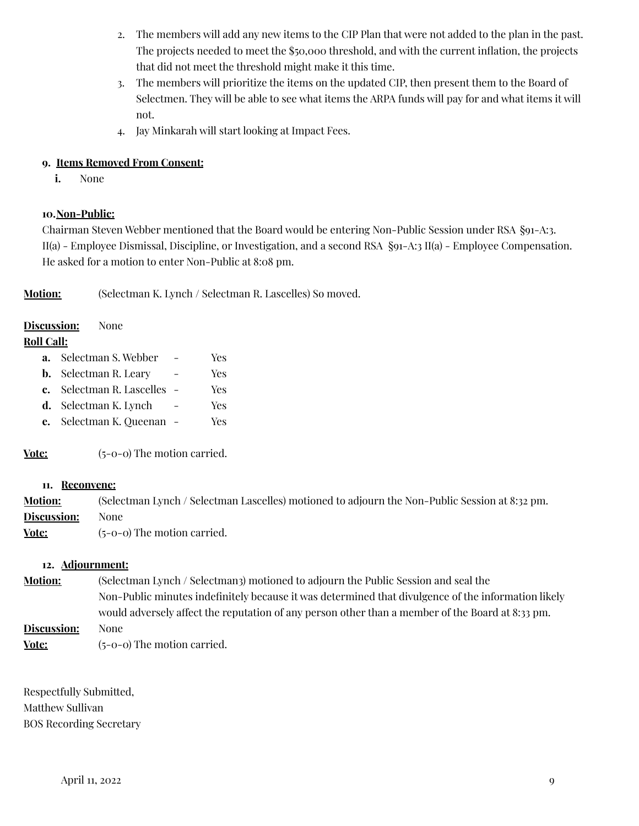- 2. The members will add any new items to the CIP Plan that were not added to the plan in the past. The projects needed to meet the \$50,000 threshold, and with the current inflation, the projects that did not meet the threshold might make it this time.
- 3. The members will prioritize the items on the updated CIP, then present them to the Board of Selectmen. They will be able to see what items the ARPA funds will pay for and what items it will not.
- 4. Jay Minkarah will start looking at Impact Fees.

## **9. Items Removed From Consent:**

**i.** None

## **10.Non-Public:**

Chairman Steven Webber mentioned that the Board would be entering Non-Public Session under RSA §91-A:3. II(a) - Employee Dismissal, Discipline, or Investigation, and a second RSA §91-A:3 II(a) - Employee Compensation. He asked for a motion to enter Non-Public at 8:08 pm.

**Motion:** (Selectman K. Lynch / Selectman R. Lascelles) So moved.

### **Discussion:** None

## **Roll Call:**

- **a.** Selectman S. Webber Yes
- **b.** Selectman R. Leary Yes
- **c.** Selectman R. Lascelles Yes
- **d.** Selectman K. Lynch Yes
- **e.** Selectman K. Queenan Yes

**<u>Vote:</u>** (5-0-0) The motion carried.

#### **11. Reconvene:**

**Motion:** (Selectman Lynch / Selectman Lascelles) motioned to adjourn the Non-Public Session at 8:32 pm.

**Discussion:** None

**<u>Vote:</u>** (5-0-0) The motion carried.

#### **12. Adjournment:**

**Motion:** (Selectman Lynch / Selectman3) motioned to adjourn the Public Session and seal the Non-Public minutes indefinitely because it was determined that divulgence of the information likely would adversely affect the reputation of any person other than a member of the Board at 8:33 pm. **Discussion:** None

**Vote:** (5-0-0) The motion carried.

Respectfully Submitted, Matthew Sullivan BOS Recording Secretary